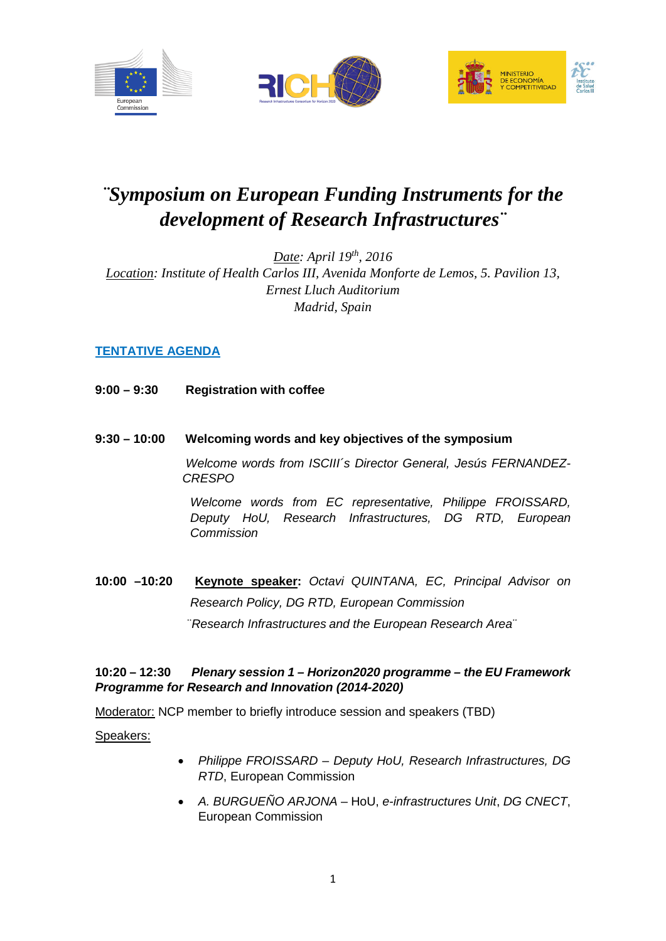





# *¨Symposium on European Funding Instruments for the development of Research Infrastructures¨*

*Date: April 19th, 2016 Location: Institute of Health Carlos III, Avenida Monforte de Lemos, 5. Pavilion 13, Ernest Lluch Auditorium Madrid, Spain*

# **TENTATIVE AGENDA**

- **9:00 – 9:30 Registration with coffee**
- **9:30 – 10:00 Welcoming words and key objectives of the symposium**

*Welcome words from ISCIII´s Director General, Jesús FERNANDEZ-CRESPO*

*Welcome words from EC representative, Philippe FROISSARD, Deputy HoU, Research Infrastructures, DG RTD, European Commission*

**10:00 –10:20 Keynote speaker:** *Octavi QUINTANA, EC, Principal Advisor on Research Policy, DG RTD, European Commission*  ¨*Research Infrastructures and the European Research Area¨*

# **10:20 – 12:30** *Plenary session 1 – Horizon2020 programme – the EU Framework Programme for Research and Innovation (2014-2020)*

Moderator: NCP member to briefly introduce session and speakers (TBD)

Speakers:

- *Philippe FROISSARD Deputy HoU, Research Infrastructures, DG RTD*, European Commission
- *A. BURGUEÑO ARJONA* HoU, *e-infrastructures Unit*, *DG CNECT*, European Commission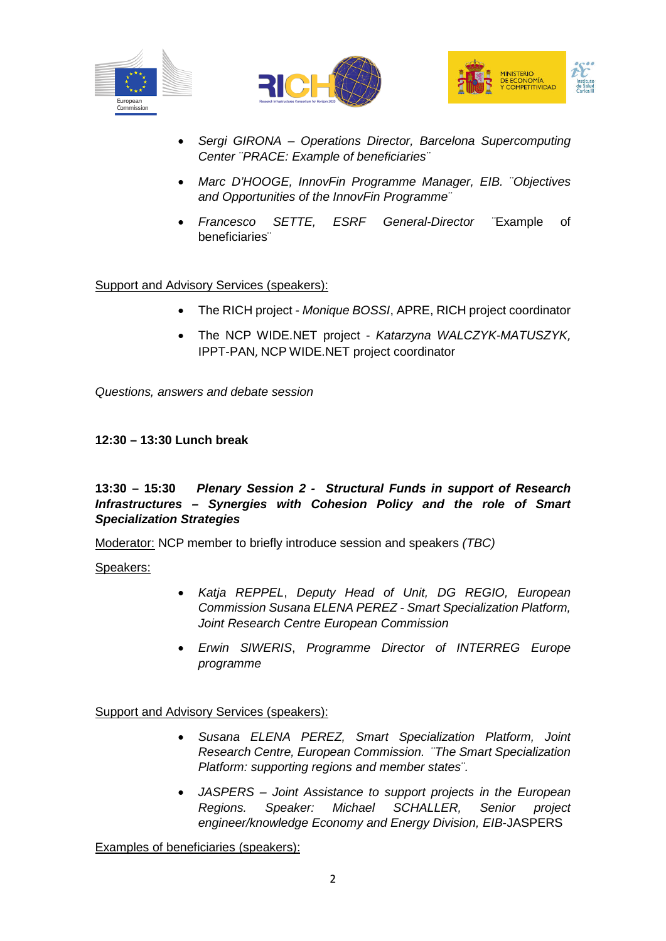





- *Sergi GIRONA Operations Director, Barcelona Supercomputing Center ¨PRACE: Example of beneficiaries¨*
- *Marc D'HOOGE, InnovFin Programme Manager, EIB. ¨Objectives and Opportunities of the InnovFin Programme¨*
- *Francesco SETTE, ESRF General-Director ¨*Example of beneficiaries¨

#### Support and Advisory Services (speakers):

- The RICH project *Monique BOSSI*, APRE, RICH project coordinator
- The NCP WIDE.NET project *Katarzyna WALCZYK-MATUSZYK*, IPPT-PAN, NCP WIDE.NET project coordinator

*Questions, answers and debate session* 

#### **12:30 – 13:30 Lunch break**

### **13:30 – 15:30** *Plenary Session 2 - Structural Funds in support of Research Infrastructures – Synergies with Cohesion Policy and the role of Smart Specialization Strategies*

Moderator: NCP member to briefly introduce session and speakers *(TBC)*

Speakers:

- *Katja REPPEL*, *Deputy Head of Unit, DG REGIO, European Commission Susana ELENA PEREZ - Smart Specialization Platform, Joint Research Centre European Commission*
- *Erwin SIWERIS*, *Programme Director of INTERREG Europe programme*

# Support and Advisory Services (speakers):

- *Susana ELENA PEREZ, Smart Specialization Platform, Joint Research Centre, European Commission. ¨The Smart Specialization Platform: supporting regions and member states¨.*
- *JASPERS – Joint Assistance to support projects in the European Regions. Speaker: Michael SCHALLER, Senior project engineer/knowledge Economy and Energy Division, EIB*-JASPERS

Examples of beneficiaries (speakers):